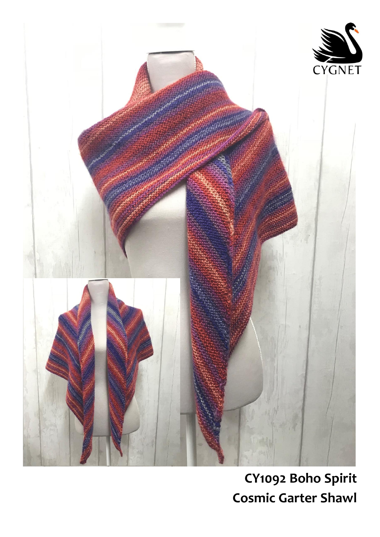

## CY1092 Boho Spirit **Cosmic Garter Shawl**